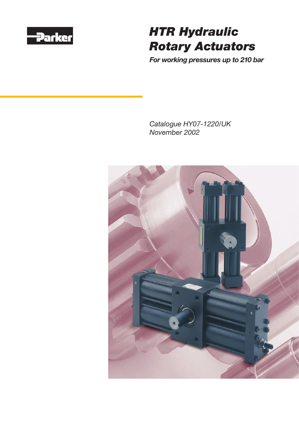

# *HTR Hydraulic Rotary Actuators*

*For working pressures up to 210 bar*

*Catalogue HY07-1220/UK November 2002*

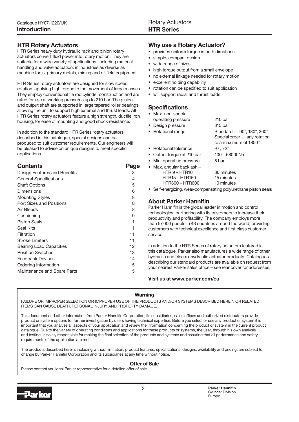#### HTR Rotary Actuators

HTR Series heavy duty hydraulic rack and pinion rotary actuators convert fluid power into rotary motion. They are suitable for a wide variety of applications, including material handling and valve actuation, in industries as diverse as machine tools, primary metals, mining and oil field equipment.

HTR Series rotary actuators are designed for slow speed rotation, applying high torque to the movement of large masses. They employ conventional tie rod cylinder construction and are rated for use at working pressures up to 210 bar. The pinion and output shaft are supported in large tapered roller bearings, allowing the unit to support high external and thrust loads. All HTR Series rotary actuators feature a high strength, ductile iron housing, for ease of mounting and good shock resistance.

In addition to the standard HTR Series rotary actuators described in this catalogue, special designs can be produced to suit customer requirements. Our engineers will be pleased to advise on unique designs to meet specific applications.

#### **Contents** Page

| Design Features and Benefits   | 3  |
|--------------------------------|----|
| <b>General Specifications</b>  | 4  |
| <b>Shaft Options</b>           | 5  |
| Dimensions                     | 6  |
| Mounting Styles                | 8  |
| Port Sizes and Positions       | 8  |
| Air Bleeds                     | 8  |
| Cushioning                     | 9  |
| <b>Piston Seals</b>            | 11 |
| Seal Kits                      | 11 |
| Filtration                     | 11 |
| Stroke Limiters                | 11 |
| <b>Bearing Load Capacities</b> | 12 |
| <b>Position Switches</b>       | 13 |
| <b>Feedback Devices</b>        | 14 |
| Ordering Information           | 15 |
| Maintenance and Spare Parts    | 15 |
|                                |    |

#### Why use a Rotary Actuator?

- provides uniform torque in both directions
- simple, compact design
- wide range of sizes
- high torque output from a small envelope •
- no external linkage needed for rotary motion •
- excellent holding capability
- rotation can be specified to suit application
- will support radial and thrust loads

#### **Specifications**

| • Max. non-shock           |                                                                                     |
|----------------------------|-------------------------------------------------------------------------------------|
| operating pressure         | 210 bar                                                                             |
| • Design pressure          | 315 bar                                                                             |
| • Rotational range         | Standard - 90°, 180°, 360°<br>Special order - any rotation<br>to a maximum of 1800° |
| • Rotational tolerance     | $-0^{\circ}$ , $+2^{\circ}$                                                         |
| • Output torque at 210 bar | $100 - 68000$ Nm                                                                    |
| • Min. operating pressure  | 5 bar                                                                               |
| • Max. angular backlash -  |                                                                                     |

- HTR.9 HTR10 30 minutes<br>HTR15 HTR150 15 minutes  $HTR15 - HTR150$ HTR300 – HTR600 10 minutes
- Self-energizing, wear-compensating polyurethane piston seals

#### About Parker Hannifin

Parker Hannifin is the global leader in motion and control technologies, partnering with its customers to increase their productivity and profitability. The company employs more than 57,000 people in 43 countries around the world, providing customers with technical excellence and first class customer service.

In addition to the HTR Series of rotary actuators featured in this catalogue, Parker also manufactures a wide range of other hydraulic and electro-hydraulic actuator products. Catalogues describing our standard products are available on request from your nearest Parker sales office – see rear cover for addresses.

#### Visit us at www.parker.com/eu

#### Warning

FAILURE OR IMPROPER SELECTION OR IMPROPER USE OF THE PRODUCTS AND/OR SYSTEMS DESCRIBED HEREIN OR RELATED ITEMS CAN CAUSE DEATH, PERSONAL INJURY AND PROPERTY DAMAGE.

This document and other information from Parker Hannifin Corporation, its subsidiaries, sales offices and authorized distributors provide product or system options for further investigation by users having technical expertise. Before you select or use any product or system it is important that you analyse all aspects of your application and review the information concerning the product or system in the current product catalogue. Due to the variety of operating conditions and applications for these products or systems, the user, through his own analysis and testing, is solely responsible for making the final selection of the products and systems and assuring that all performance and safety requirements of the application are met.

The products described herein, including without limitation, product features, specifications, designs, availability and pricing, are subject to change by Parker Hannifin Corporation and its subsidiaries at any time without notice.

#### Offer of Sale

Please contact you local Parker representative for a detailed offer of sale.

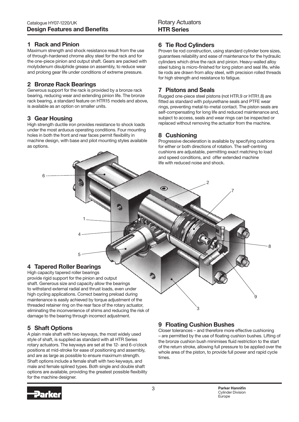#### 1 Rack and Pinion

Maximum strength and shock resistance result from the use of through-hardened chrome alloy steel for the rack and for the one-piece pinion and output shaft. Gears are packed with molybdenum disulphide grease on assembly, to reduce wear and prolong gear life under conditions of extreme pressure.

### 2 Bronze Rack Bearings

Generous support for the rack is provided by a bronze rack bearing, reducing wear and extending pinion life. The bronze rack bearing, a standard feature on HTR15 models and above, is available as an option on smaller units.

#### 3 Gear Housing

6

High strength ductile iron provides resistance to shock loads under the most arduous operating conditions. Four mounting holes in both the front and rear faces permit flexibility in machine design, with base and pilot mounting styles available as options.

# 6 Tie Rod Cylinders

Proven tie rod construction, using standard cylinder bore sizes, guarantees reliability and ease of maintenance for the hydraulic cylinders which drive the rack and pinion. Heavy-walled alloy steel tubing is micro-finished for long piston and seal life, while tie rods are drawn from alloy steel, with precision rolled threads for high strength and resistance to fatigue.

### 7 Pistons and Seals

Rugged one-piece steel pistons (not HTR.9 or HTR1.8) are fitted as standard with polyurethane seals and PTFE wear rings, preventing metal-to-metal contact. The piston seals are self-compensating for long life and reduced maintenance and, subject to access, seals and wear rings can be inspected or replaced without removing the actuator from the machine.

# 8 Cushioning

 $\bullet$ 

Progressive deceleration is available by specifying cushions for either or both directions of rotation. The self-centring cushions are adjustable, permitting exact matching to load and speed conditions, and offer extended machine life with reduced noise and shock.

7

2

# 4 Tapered Roller Bearings

High capacity tapered roller bearings provide rigid support for the pinion and output shaft. Generous size and capacity allow the bearings to withstand external radial and thrust loads, even under high cycling applications. Correct bearing preload during maintenance is easily achieved by torque adjustment of the threaded retainer ring on the rear face of the rotary actuator, eliminating the inconvenience of shims and reducing the risk of damage to the bearing through incorrect adjustment.

5

4

1

# 5 Shaft Options

A plain male shaft with two keyways, the most widely used style of shaft, is supplied as standard with all HTR Series rotary actuators. The keyways are set at the 12- and 6-o'clock positions at mid-stroke for ease of positioning and assembly, and are as large as possible to ensure maximum strength. Shaft options include a female shaft with two keyways, and male and female splined types. Both single and double shaft options are available, providing the greatest possible flexibility for the machine designer.

#### 9 Floating Cushion Bushes

์<br>3

Closer tolerances – and therefore more effective cushioning – are permitted by the use of floating cushion bushes. Lifting of the bronze cushion bush minimises fluid restriction to the start of the return stroke, allowing full pressure to be applied over the whole area of the piston, to provide full power and rapid cycle times.



 $\mathbf{Q}$ 

٥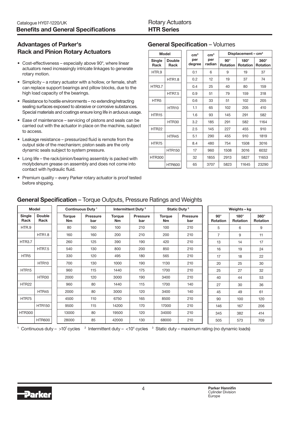# Advantages of Parker's Rack and Pinion Rotary Actuators

- Cost-effectiveness especially above 90°, where linear actuators need increasingly intricate linkages to generate rotary motion.
- Simplicity a rotary actuator with a hollow, or female, shaft can replace support bearings and pillow blocks, due to the high load capacity of the bearings.
- Resistance to hostile environments no extending/retracting sealing surfaces exposed to abrasive or corrosive substances. Special materials and coatings ensure long life in arduous usage.
- Ease of maintenance servicing of pistons and seals can be carried out with the actuator in place on the machine, subject to access.
- Leakage resistance pressurized fluid is remote from the output side of the mechanism; piston seals are the only dynamic seals subject to system pressure.
- Long life the rack/pinion/bearing assembly is packed with molybdenum grease on assembly and does not come into contact with hydraulic fluid.
- Premium quality every Parker rotary actuator is proof tested before shipping.

# General Specification – Volumes

| <b>Model</b>      |                       | cm <sup>3</sup> | cm <sup>3</sup> | Displacement – $cm3$          |                         |                                |  |  |  |
|-------------------|-----------------------|-----------------|-----------------|-------------------------------|-------------------------|--------------------------------|--|--|--|
| Single<br>Rack    | <b>Double</b><br>Rack | per<br>degree   | per<br>radian   | $90^\circ$<br><b>Rotation</b> | 180°<br><b>Rotation</b> | $360^\circ$<br><b>Rotation</b> |  |  |  |
| HTR.9             |                       | 0.1             | 6               | 9                             | 19                      | 37                             |  |  |  |
|                   | <b>HTR1.8</b>         | 0.2             | 12              | 19                            | 37                      | 74                             |  |  |  |
| <b>HTR3.7</b>     |                       | 0.4             | 25              | 40                            | 80                      | 159                            |  |  |  |
|                   | <b>HTR7.5</b>         | 0.9             | 51              | 79                            | 159                     | 318                            |  |  |  |
| HTR <sub>5</sub>  |                       | 0.6             | 33              | 51                            | 102                     | 205                            |  |  |  |
|                   | HTR <sub>10</sub>     | 1.1             | 65              | 102                           | 205                     | 410                            |  |  |  |
| HTR <sub>15</sub> |                       | 1.6             | 93              | 145                           | 291                     | 582                            |  |  |  |
|                   | HTR30                 | 3.2             | 185             | 291                           | 582                     | 1164                           |  |  |  |
| <b>HTR22</b>      |                       | 2.5             | 145             | 227                           | 455                     | 910                            |  |  |  |
|                   | HTR45                 | 5.1             | 290             | 455                           | 910                     | 1819                           |  |  |  |
| HTR75             |                       | 8.4             | 480             | 754                           | 1508                    | 3016                           |  |  |  |
|                   | <b>HTR150</b>         | 17              | 960             | 1508                          | 3016                    | 6032                           |  |  |  |
| <b>HTR300</b>     |                       | 32              | 1855            | 2913                          | 5827                    | 11653                          |  |  |  |
|                   | <b>HTR600</b>         | 65              | 3707            | 5823                          | 11645                   | 23290                          |  |  |  |

# General Specification – Torque Outputs, Pressure Ratings and Weights

|                   | <b>Model</b>          |  |                            | Continuous Duty <sup>1</sup> |                            | Intermittent Duty <sup>2</sup> |                            | Static Duty <sup>3</sup> |                        | Weights-kg              |                                |
|-------------------|-----------------------|--|----------------------------|------------------------------|----------------------------|--------------------------------|----------------------------|--------------------------|------------------------|-------------------------|--------------------------------|
| Single<br>Rack    | <b>Double</b><br>Rack |  | <b>Torque</b><br><b>Nm</b> | <b>Pressure</b><br>bar       | <b>Torque</b><br><b>Nm</b> | <b>Pressure</b><br>bar         | <b>Torque</b><br><b>Nm</b> | <b>Pressure</b><br>bar   | $90^\circ$<br>Rotation | 180°<br><b>Rotation</b> | $360^\circ$<br><b>Rotation</b> |
| HTR.9             |                       |  | 80                         | 160                          | 100                        | 210                            | 100                        | 210                      | 5                      | 6                       | 9                              |
|                   | <b>HTR1.8</b>         |  | 160                        | 160                          | 200                        | 210                            | 200                        | 210                      | $\overline{7}$         | 9                       | 11                             |
| <b>HTR3.7</b>     |                       |  | 260                        | 125                          | 390                        | 190                            | 420                        | 210                      | 13                     | 14                      | 17                             |
|                   | <b>HTR7.5</b>         |  | 540                        | 130                          | 800                        | 200                            | 850                        | 210                      | 16                     | 19                      | 24                             |
| HTR <sub>5</sub>  |                       |  | 330                        | 120                          | 495                        | 180                            | 565                        | 210                      | 17                     | 18                      | 22                             |
|                   | HTR <sub>10</sub>     |  | 700                        | 130                          | 1000                       | 190                            | 1130                       | 210                      | 20                     | 25                      | 30                             |
| HTR <sub>15</sub> |                       |  | 960                        | 115                          | 1440                       | 175                            | 1700                       | 210                      | 25                     | 27                      | 32                             |
|                   | HTR30                 |  | 2000                       | 120                          | 3000                       | 190                            | 3400                       | 210                      | 40                     | 44                      | 53                             |
| <b>HTR22</b>      |                       |  | 960                        | 80                           | 1440                       | 115                            | 1700                       | 140                      | 27                     | 30                      | 36                             |
|                   | HTR45                 |  | 2000                       | 80                           | 3000                       | 120                            | 3400                       | 140                      | 45                     | 49                      | 61                             |
| HTR75             |                       |  | 4500                       | 110                          | 6750                       | 165                            | 8500                       | 210                      | 90                     | 100                     | 120                            |
|                   | <b>HTR150</b>         |  | 9500                       | 115                          | 14200                      | 170                            | 17000                      | 210                      | 146                    | 167                     | 206                            |
| <b>HTR300</b>     |                       |  | 13000                      | 80                           | 19500                      | 120                            | 34000                      | 210                      | 345                    | 382                     | 414                            |
|                   | <b>HTR600</b>         |  | 28000                      | 85                           | 42000                      | 130                            | 68000                      | 210                      | 505                    | 573                     | 709                            |

1 Continuous duty – >10<sup>7</sup> cycles  $\,$   $^2$  Intermittent duty – <10<sup>4</sup> cycles  $\,$   $^3$  Static duty – maximum rating (no dynamic loads)

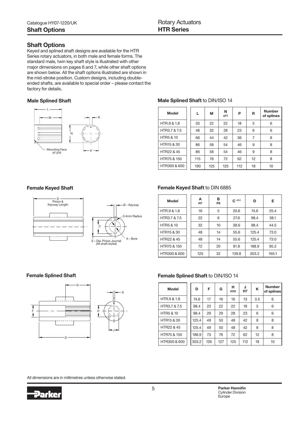#### Shaft Options

Keyed and splined shaft designs are available for the HTR Series rotary actuators, in both male and female forms. The standard male, twin key shaft style is illustrated with other major dimensions on pages 6 and 7, while other shaft options are shown below. All the shaft options illustrated are shown in the mid-stroke position. Custom designs, including doubleended shafts, are available to special order – please contact the factory for details.



#### Male Splined Shaft Male Splined Shaft Male Splined Shaft to DIN/ISO 14

| <b>Model</b>           | L   | М   | N<br>a11 | P   | R                 | <b>Number</b><br>of splines |
|------------------------|-----|-----|----------|-----|-------------------|-----------------------------|
| HTR.9 & 1.8            | 33  | 22  | 22       | 18  | 5                 | 6                           |
| HTR3.7 & 7.5           | 48  | 32  | 28       | 23  | 6                 | 6                           |
| <b>HTR5 &amp; 10</b>   | 66  | 44  | 42       | 36  | 7                 | 8                           |
| HTR <sub>15</sub> & 30 | 86  | 58  | 54       | 46  | 9                 | 8                           |
| HTR22 & 45             | 86  | 58  | 54       | 46  | 9                 | 8                           |
| HTR75 & 150            | 115 | 76  | 72       | 62  | $12 \overline{ }$ | 8                           |
| HTR300 & 600           | 190 | 125 | 125      | 112 | 18                | 10                          |



#### Female Keyed Shaft **Female Keyed Shaft to DIN 6885**

| <b>Model</b>           | А<br>H <sub>7</sub> | в<br>P <sub>9</sub> | $C + 0.4$ | D     | Е     |
|------------------------|---------------------|---------------------|-----------|-------|-------|
| HTR.9 & 1.8            | 16                  | 5                   | 20.6      | 74.6  | 25.4  |
| HTR3.7 & 7.5           | 22                  | 6                   | 27.6      | 98.4  | 38.1  |
| <b>HTR5 &amp; 10</b>   | 32                  | 10                  | 38.6      | 98.4  | 44.5  |
| HTR <sub>15</sub> & 30 | 48                  | 14                  | 55.6      | 125.4 | 73.0  |
| HTR22 & 45             | 48                  | 14                  | 55.6      | 125.4 | 73.0  |
| HTR75 & 150            | 72                  | 20                  | 81.8      | 188.9 | 95.2  |
| HTR300 & 600           | 125                 | 32                  | 139.8     | 303.2 | 165.1 |



#### Female Splined Shaft **Female Splined Shaft to DIN/ISO 14**

| <b>Model</b>           | D     | F   | G   | н<br>H <sub>10</sub> | J<br><b>H7</b> | K   | <b>Number</b><br>of splines |
|------------------------|-------|-----|-----|----------------------|----------------|-----|-----------------------------|
| HTR.9 & 1.8            | 74.6  | 17  | 16  | 16                   | 13             | 3.5 | 6                           |
| HTR3.7 & 7.5           | 98.4  | 23  | 22  | 22                   | 18             | 5   | 6                           |
| <b>HTR5 &amp; 10</b>   | 98.4  | 29  | 29  | 28                   | 23             | 6   | 6                           |
| HTR <sub>15</sub> & 30 | 125.4 | 49  | 50  | 48                   | 42             | 8   | 8                           |
| HTR22 & 45             | 125.4 | 49  | 50  | 48                   | 42             | 8   | 8                           |
| HTR75 & 150            | 188.9 | 73  | 76  | 72                   | 62             | 12  | 8                           |
| HTR300 & 600           | 303.2 | 126 | 127 | 125                  | 112            | 18  | 10                          |

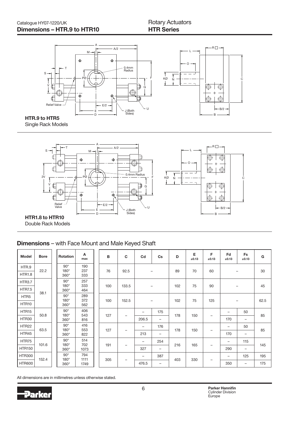

Single Rack Models



Double Rack Models

### Dimensions – with Face Mount and Male Keyed Shaft

| <b>Model</b>      | <b>Bore</b> | Rotation                   | Α<br>max     | B   | C                        | Cd                       | Cs                       | D   | E<br>±0.13 | F<br>±0.13               | Fd<br>±0.13       | Fs<br>±0.13              | G    |
|-------------------|-------------|----------------------------|--------------|-----|--------------------------|--------------------------|--------------------------|-----|------------|--------------------------|-------------------|--------------------------|------|
| HTR.9             | 22.2        | $90^\circ$<br>$180^\circ$  | 190<br>237   | 76  | 92.5                     |                          |                          | 89  | 70         | 60                       | $\qquad \qquad -$ |                          | 30   |
| <b>HTR1.8</b>     |             | $360^\circ$                | 333          |     |                          |                          |                          |     |            |                          |                   |                          |      |
| <b>HTR3.7</b>     |             | $90^\circ$                 | 257          |     |                          |                          |                          |     |            |                          |                   |                          |      |
| <b>HTR7.5</b>     |             | $180^\circ$<br>$360^\circ$ | 333<br>464   | 100 | 133.5                    |                          | $\qquad \qquad -$        | 102 | 75         | 90                       |                   | $\qquad \qquad -$        | 45   |
| HTR <sub>5</sub>  | 38.1        | $90^\circ$                 | 289          |     |                          |                          |                          |     |            |                          |                   |                          |      |
| HTR10             |             | $180^\circ$<br>$360^\circ$ | 372<br>562   | 100 | 152.5                    |                          | $\overline{\phantom{m}}$ | 102 | 75         | 125                      |                   | $\overline{\phantom{m}}$ | 62.5 |
| HTR <sub>15</sub> |             | $90^\circ$                 | 406          |     |                          | -                        | 175                      |     |            |                          |                   | 50                       |      |
| HTR30             | 50.8        | $180^\circ$<br>$360^\circ$ | 543<br>816   | 127 |                          | 206.5                    | -                        | 178 | 150        | $\overline{\phantom{0}}$ | 170               | -                        | 85   |
| HTR22             |             | $90^\circ$                 | 416          |     |                          | $\overline{\phantom{0}}$ | 176                      |     |            |                          | -                 | 50                       |      |
| HTR45             | 63.5        | $180^\circ$<br>$360^\circ$ | 553<br>822   | 127 | $\overline{\phantom{m}}$ | 213                      | $\qquad \qquad -$        | 178 | 150        | $\qquad \qquad$          | 170               | —                        | 85   |
| HTR75             | 101.6       | $90^\circ$<br>$180^\circ$  | 514<br>702   |     |                          | -                        | 254                      |     |            |                          | $\qquad \qquad -$ | 115                      |      |
| <b>HTR150</b>     |             | $360^\circ$                | 1073         | 191 | -                        | 327                      | -                        | 216 | 165        | -                        | 290               | —                        | 145  |
| <b>HTR300</b>     |             | $90^\circ$<br>$180^\circ$  | 794          |     |                          | $\overline{\phantom{0}}$ | 387                      |     |            |                          | -                 | 125                      | 195  |
| <b>HTR600</b>     | 152.4       | $360^\circ$                | 1111<br>1749 | 305 | —                        | 476.5                    | -                        | 403 | 330        | $\qquad \qquad$          | 350               | -                        | 175  |

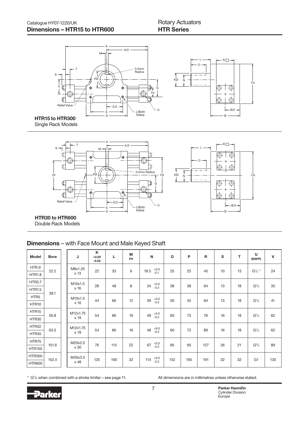L O

 $R \Box$ 

B/2 B

Cs



Single Rack Models



HTR30 to HTR600 Double Rack Models

# Dimensions – with Face Mount and Male Keyed Shaft

| <b>Model</b>      | <b>Bore</b> | J        | K<br>$+0.00$<br>$-0.02$ | L   | M<br>P <sub>9</sub> | N                        | $\Omega$ | P   | $\mathsf{R}$ | $\mathbf{s}$ | т  | U<br>(BSPP)                   | $\mathbf{V}$ |
|-------------------|-------------|----------|-------------------------|-----|---------------------|--------------------------|----------|-----|--------------|--------------|----|-------------------------------|--------------|
| HTR.9             | 22.2        | M8x1.25  | 22                      | 33  | 6                   | $+0.0$<br>$-0.1$<br>18.5 | 25       | 25  | 45           | 10           | 13 | $G'/4$ *                      | 24           |
| <b>HTR1.8</b>     |             | x 13     |                         |     |                     |                          |          |     |              |              |    |                               |              |
| <b>HTR3.7</b>     |             | M10x1.5  | 28                      | 48  | 8                   | $+0.0$<br>$-0.2$<br>24   | 38       | 38  | 64           | 13           | 18 | G <sup>1</sup> / <sub>4</sub> | 35           |
| <b>HTR7.5</b>     | 38.1        | x 16     |                         |     |                     |                          |          |     |              |              |    |                               |              |
| HTR <sub>5</sub>  |             | M10x1.5  | 44                      | 66  | 12                  | $+0.0$<br>$-0.2$<br>39   | 50       | 45  | 64           | 13           | 18 | G <sup>1</sup> / <sub>4</sub> | 41           |
| HTR10             |             | x 16     |                         |     |                     |                          |          |     |              |              |    |                               |              |
| HTR <sub>15</sub> | 50.8        | M12x1.75 | 54                      | 86  | 16                  | $+0.0$<br>$-0.2$<br>48   | 60       | 73  | 76           | 16           | 18 | $G^{1/2}$                     | 62           |
| HTR30             |             | x 19     |                         |     |                     |                          |          |     |              |              |    |                               |              |
| HTR22             | 63.5        | M12x1.75 | 54                      | 86  | 16                  | $+0.0$<br>$-0.2$<br>48   | 60       | 73  | 89           | 16           | 18 | $G^{1/2}$                     | 62           |
| HTR45             |             | x 19     |                         |     |                     |                          |          |     |              |              |    |                               |              |
| HTR75             | 101.6       | M20x2.5  | 76                      | 115 | 22                  | $+0.0$<br>$-0.2$<br>67   | 85       | 95  | 127          | 26           | 21 | $G^3/4$                       | 89           |
| <b>HTR150</b>     |             | x 30     |                         |     |                     |                          |          |     |              |              |    |                               |              |
| <b>HTR300</b>     | 152.4       | M30x3.5  | 125                     | 190 | 32                  | $+0.0$<br>114            | 152      | 165 | 191          | 32           | 32 | G <sub>1</sub>                | 130          |
| <b>HTR600</b>     |             | x 48     |                         |     |                     | $-0.2$                   |          |     |              |              |    |                               |              |

\* G1 /8 when combined with a stroke limiter – see page 11.

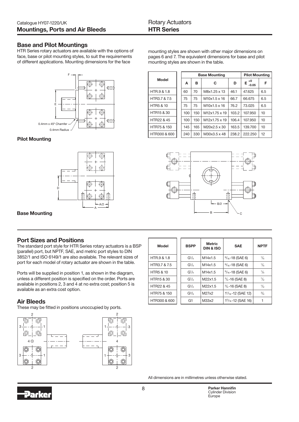#### Base and Pilot Mountings

HTR Series rotary actuators are available with the options of face, base or pilot mounting styles, to suit the requirements of different applications. Mounting dimensions for the face



Pilot Mounting



mounting styles are shown with other major dimensions on pages 6 and 7. The equivalent dimensions for base and pilot mounting styles are shown in the table.

|                        |  |     |     | <b>Base Mounting</b>      |       | <b>Pilot Mounting</b> |     |  |
|------------------------|--|-----|-----|---------------------------|-------|-----------------------|-----|--|
| Model                  |  | A   | в   | С                         | D     | $+0$<br>Е<br>$-0.05$  | F   |  |
| HTR.9 & 1.8            |  | 60  | 70  | M8x1.25 x 13              | 46.1  | 47.625                | 6.5 |  |
| HTR3.7 & 7.5           |  | 75  | 75  | M10x1.5 x 16              | 66.7  | 66.675                | 6.5 |  |
| <b>HTR5 &amp; 10</b>   |  | 75  | 75  | M10x1.5 x 16              | 76.2  | 73.025                | 6.5 |  |
| HTR <sub>15</sub> & 30 |  | 100 | 150 | M <sub>12x1.75</sub> x 19 | 103.2 | 107.950               | 10  |  |
| HTR22 & 45             |  | 100 | 150 | M <sub>12x1.75</sub> x 19 | 106.4 | 107.950               | 10  |  |
| HTR75 & 150            |  | 145 | 165 | M20x2.5 x 30              | 163.5 | 139.700               | 10  |  |
| HTR300 & 600           |  | 240 | 330 | M30x3.5 x 48              | 238.2 | 222.250               | 12  |  |



Port Sizes and Positions The standard port style for HTR Series rotary actuators is a BSP (parallel) port, but NPTF, SAE, and metric port styles to DIN 3852/1 and ISO 6149/1 are also available. The relevant sizes of port for each model of rotary actuator are shown in the table.

Ports will be supplied in position 1, as shown in the diagram, unless a different position is specified on the order. Ports are available in positions 2, 3 and 4 at no extra cost; position 5 is available as an extra cost option.

#### Air Bleeds

These may be fitted in positions unoccupied by ports.



| Model                  | <b>BSPP</b>       | <b>Metric</b><br><b>DIN &amp; ISO</b> | <b>SAE</b>                   | <b>NPTF</b>   |
|------------------------|-------------------|---------------------------------------|------------------------------|---------------|
| HTR.9 & 1.8            | $G^{1/4}$         | M14x1.5                               | $\frac{9}{16}$ -18 (SAE 6)   | $\frac{1}{4}$ |
| HTR3.7 & 7.5           | $G^{1/4}$         | M14x1.5                               | $\frac{9}{16}$ -18 (SAE 6)   | $\frac{1}{4}$ |
| <b>HTR5 &amp; 10</b>   | $G^{1/4}$         | M14x1.5                               | $\frac{9}{16}$ -18 (SAE 6)   | $\frac{1}{4}$ |
| HTR <sub>15</sub> & 30 | G <sup>1</sup> /2 | M22x1.5                               | $\frac{3}{4}$ -16 (SAE 8)    | 1/2           |
| HTR22 & 45             | G <sup>1</sup> /2 | M22x1.5                               | $\frac{3}{4}$ -16 (SAE 8)    | $\frac{1}{2}$ |
| HTR75 & 150            | $G^3/4$           | M27x2                                 | $1\frac{1}{16}$ -12 (SAE 12) | $^{3}/_{4}$   |
| HTR300 & 600           | G <sub>1</sub>    | M33x2                                 | $15/16 - 12$ (SAE 16)        |               |

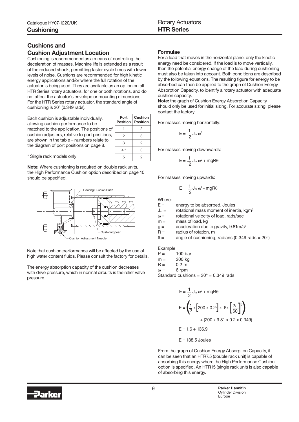# Cushions and Cushion Adjustment Location

Cushioning is recommended as a means of controlling the deceleration of masses. Machine life is extended as a result of the reduced shock, permitting faster cycle times with lower levels of noise. Cushions are recommended for high kinetic energy applications and/or where the full rotation of the actuator is being used. They are available as an option on all HTR Series rotary actuators, for one or both rotations, and do not affect the actuator's envelope or mounting dimensions. For the HTR Series rotary actuator, the standard angle of cushioning is 20° (0.349 rads).

Each cushion is adjustable individually, allowing cushion performance to be matched to the application. The positions of cushion adjusters, relative to port positions, are shown in the table – numbers relate to the diagram of port positions on page 8.

| Port<br>Position | Cushion<br><b>Position</b> |
|------------------|----------------------------|
|                  | 2                          |
| 2                | З                          |
| 3                | 2                          |
| 4 *              | 3                          |
| 5                | 2                          |

\* Single rack models only

Note: Where cushioning is required on double rack units, the High Performance Cushion option described on page 10 should be specified.



Note that cushion performance will be affected by the use of high water content fluids. Please consult the factory for details.

The energy absorption capacity of the cushion decreases with drive pressure, which in normal circuits is the relief valve pressure.

#### Formulae

For a load that moves in the horizontal plane, only the kinetic energy need be considered. If the load is to move vertically, then the potential energy change of the load during cushioning must also be taken into account. Both conditions are described by the following equations. The resulting figure for energy to be absorbed can then be applied to the graph of Cushion Energy Absorption Capacity, to identify a rotary actuator with adequate cushion capacity.

Note: the graph of Cushion Energy Absorption Capacity should only be used for initial sizing. For accurate sizing, please contact the factory.

For masses moving horizontally:

$$
E=\frac{1}{2}\,J_m\,\omega^2
$$

For masses moving downwards:

$$
E=\frac{1}{2}\,J_m\,\omega^2+mgR\theta
$$

For masses moving upwards:

$$
E = \frac{1}{2} J_m \omega^2 - mgR\theta
$$

Where:

 $E =$  energy to be absorbed, Joules

 $J_m =$  rotational mass moment of inertia, kgm<sup>2</sup>

 $\omega$  = rotational velocity of load, rads/sec

 $m =$  mass of load, kg

 $g =$  acceleration due to gravity,  $9.81 \text{m/s}^2$ 

 $R =$  radius of rotation, m

 $\theta$  = angle of cushioning, radians (0.349 rads = 20°)

Example

 $P = 100 \text{ bar}$ 

m = 200 kg

 $R = 0.2 m$ 

 $\omega = 6$  rpm

Standard cushions =  $20^\circ$  = 0.349 rads.

$$
E = \frac{1}{2} J_m \omega^2 + mgR\theta
$$
  

$$
E = \left(\frac{1}{2} \times \left[200 \times 0.2^2\right] \times 6 \times \left[\frac{2\pi}{60}\right]^2\right)
$$

+ (200 x 9.81 x 0.2 x 0.349)

 $E = 1.6 + 136.9$ 

 $E = 138.5$  Joules

From the graph of Cushion Energy Absorption Capacity, it can be seen that an HTR7.5 (double rack unit) is capable of absorbing this energy where the High Performance Cushion option is specified. An HTR15 (single rack unit) is also capable of absorbing this energy.

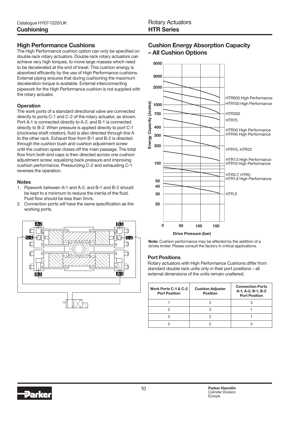– All Cushion Options

### High Performance Cushions

The High Performance cushion option can only be specified on double rack rotary actuators. Double rack rotary actuators can achieve very high torques, to move large masses which need to be decelerated at the end of travel. This cushion energy is absorbed efficiently by the use of High Performance cushions. External piping ensures that during cushioning the maximum deceleration torque is available. External interconnecting pipework for the High Performance cushion is not supplied with the rotary actuator.

#### **Operation**

The work ports of a standard directional valve are connected directly to ports C-1 and C-2 of the rotary actuator, as shown. Port A-1 is connected directly to A-2, and B-1 is connected directly to B-2. When pressure is applied directly to port C-1 (clockwise shaft rotation), fluid is also directed through line A to the other rack. Exhaust flow from B-1 and B-2 is directed through the cushion bush and cushion adjustment screw until the cushion spear closes off the main passage. The total flow from both end caps is then directed across one cushion adjustment screw, equalizing back pressure and improving cushion performance. Pressurizing C-2 and exhausting C-1 reverses the operation.

#### **Notes**

- 1. Pipework between A-1 and A-2, and B-1 and B-2 should be kept to a minimum to reduce the inertia of the fluid. Fluid flow should be less than 5m/s.
- 2. Connection ports will have the same specification as the working ports.





Cushion Energy Absorption Capacity



#### Port Positions

Rotary actuators with High Performance Cushions differ from standard double rack units only in their port positions – all external dimensions of the units remain unaltered.

| Work Ports C-1 & C-2<br><b>Port Position</b> | <b>Cushion Adjuster</b><br><b>Position</b> | <b>Connection Ports</b><br>A-1, A-2, B-1, B-2<br><b>Port Position</b> |
|----------------------------------------------|--------------------------------------------|-----------------------------------------------------------------------|
|                                              |                                            |                                                                       |
|                                              |                                            |                                                                       |
|                                              |                                            |                                                                       |
| 5                                            |                                            |                                                                       |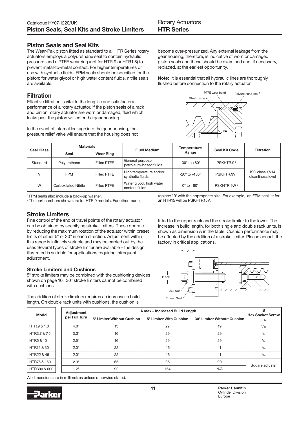#### Piston Seals and Seal Kits

The Wear-Pak piston fitted as standard to all HTR Series rotary actuators employs a polyurethane seal to contain hydraulic pressure, and a PTFE wear ring (not for HTR.9 or HTR1.8) to prevent metal-to-metal contact. For higher temperatures or use with synthetic fluids, FPM seals should be specified for the piston; for water glycol or high water content fluids, nitrile seals are available.

#### **Filtration**

Effective filtration is vital to the long life and satisfactory performance of a rotary actuator. If the piston seals of a rack and pinion rotary actuator are worn or damaged, fluid which leaks past the piston will enter the gear housing.

In the event of internal leakage into the gear housing, the pressure relief valve will ensure that the housing does not become over-pressurized. Any external leakage from the gear housing, therefore, is indicative of worn or damaged piston seals and these should be examined and, if necessary, replaced, at the earliest opportunity.

Note: it is essential that all hydraulic lines are thoroughly flushed before connection to the rotary actuator.



| <b>Seal Class</b> | <b>Materials</b>            |                  | <b>Fluid Medium</b>                         | <b>Temperature</b>              | <b>Seal Kit Code</b>   | <b>Filtration</b>                    |
|-------------------|-----------------------------|------------------|---------------------------------------------|---------------------------------|------------------------|--------------------------------------|
|                   | Seal                        | <b>Wear Ring</b> |                                             | Range                           |                        |                                      |
| Standard          | Polyurethane                | Filled PTFE      | General purpose,<br>petroleum-based fluids  | $-30^\circ$ to $+80^\circ$      | PSKHTR.9 <sup>2</sup>  |                                      |
| $\mathcal{U}$     | <b>FPM</b>                  | Filled PTFE      | High temperature and/or<br>synthetic fluids | $-20^{\circ}$ to $+150^{\circ}$ | PSKHTR.9V <sup>2</sup> | ISO class 17/14<br>cleanliness level |
| W                 | <b>Carboxilated Nitrile</b> | Filled PTFE      | Water glycol, high water<br>content fluids  | $0^\circ$ to $+80^\circ$        | PSKHTR.9W <sup>2</sup> |                                      |

1 FPM seals also include a back-up washer.

<sup>2</sup>The part numbers shown are for HTR.9 models. For other models,

replace '.9' with the appropriate size. For example, an FPM seal kit for an HTR15 will be PSKHTR15V.

#### Stroke Limiters

Fine control of the end of travel points of the rotary actuator can be obtained by specifying stroke limiters. These operate by reducing the maximum rotation of the actuator within preset limits of either 5° or 30° in each direction. Adjustment within this range is infinitely variable and may be carried out by the user. Several types of stroke limiter are available – the design illustrated is suitable for applications requiring infrequent adjustment.

#### Stroke Limiters and Cushions

5° stroke limiters may be combined with the cushioning devices shown on page 10. 30° stroke limiters cannot be combined with cushions.

The addition of stroke limiters requires an increase in build length. On double rack units with cushions, the cushion is

fitted to the upper rack and the stroke limiter to the lower. The increase in build length, for both single and double rack units, is shown as dimension A in the table. Cushion performance may be affected by the addition of a stroke limiter. Please consult the factory in critical applications.



| <b>Model</b>         |  | Adjustment    | A max - Increased Build Length | в<br><b>Hex Socket Screw</b> |                             |                 |
|----------------------|--|---------------|--------------------------------|------------------------------|-----------------------------|-----------------|
|                      |  | per Full Turn | 5° Limiter Without Cushion     | 5° Limiter With Cushion      | 30° Limiter Without Cushion | in.             |
| HTR.9 & 1.8          |  | $4.0^\circ$   | 13                             | 22                           | 19                          | 5/32            |
| HTR3.7 & 7.5         |  | $3.3^\circ$   | 16                             | 29                           | 29                          | $^{1}/_{4}$     |
| <b>HTR5 &amp; 10</b> |  | $2.5^\circ$   | 16                             | 29                           | 29                          | $^{1}/_{4}$     |
| HTR15 & 30           |  | $2.0^\circ$   | 22                             | 46                           | 41                          | $^{3}/_{8}$     |
| HTR22 & 45           |  | $2.0^\circ$   | 22                             | 46                           | 41                          | $^{3}/_{8}$     |
| HTR75 & 150          |  | $2.0^\circ$   | 65                             | 95                           | 90                          |                 |
| HTR300 & 600         |  | $1.2^\circ$   | 90                             | 154                          | N/A                         | Square adjuster |

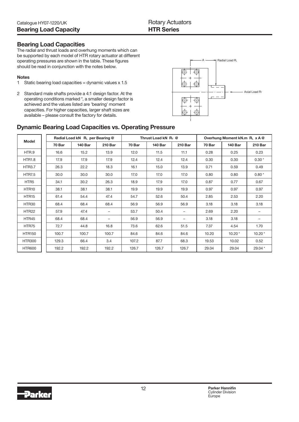#### Bearing Load Capacities

The radial and thrust loads and overhung moments which can be supported by each model of HTR rotary actuator at different operating pressures are shown in the table. These figures should be read in conjunction with the notes below.

#### Notes

- 1 Static bearing load capacities = dynamic values x 1.5
- 2 Standard male shafts provide a 4:1 design factor. At the operating conditions marked \*, a smaller design factor is achieved and the values listed are 'bearing' moment capacities. For higher capacities, larger shaft sizes are available – please consult the factory for details.



## Dynamic Bearing Load Capacities vs. Operating Pressure

| <b>Model</b>      | Radial Load kN RL per Bearing @ |                |                          | Thrust Load kN $R_T$ @ |                |                          | Overhung Moment kN.m RL x A @ |                |                |
|-------------------|---------------------------------|----------------|--------------------------|------------------------|----------------|--------------------------|-------------------------------|----------------|----------------|
|                   | 70 Bar                          | <b>140 Bar</b> | <b>210 Bar</b>           | 70 Bar                 | <b>140 Bar</b> | <b>210 Bar</b>           | 70 Bar                        | <b>140 Bar</b> | <b>210 Bar</b> |
| HTR.9             | 16.6                            | 15.2           | 13.9                     | 12.0                   | 11.5           | 11.1                     | 0.28                          | 0.25           | 0.23           |
| <b>HTR1.8</b>     | 17.9                            | 17.9           | 17.9                     | 12.4                   | 12.4           | 12.4                     | 0.30                          | 0.30           | $0.30*$        |
| <b>HTR3.7</b>     | 26.3                            | 22.2           | 18.3                     | 16.1                   | 15.0           | 13.9                     | 0.71                          | 0.59           | 0.49           |
| <b>HTR7.5</b>     | 30.0                            | 30.0           | 30.0                     | 17.0                   | 17.0           | 17.0                     | 0.80                          | 0.80           | $0.80*$        |
| HTR <sub>5</sub>  | 34.1                            | 30.2           | 26.3                     | 18.9                   | 17.9           | 17.0                     | 0.87                          | 0.77           | 0.67           |
| HTR <sub>10</sub> | 38.1                            | 38.1           | 38.1                     | 19.9                   | 19.9           | 19.9                     | 0.97                          | 0.97           | 0.97           |
| HTR <sub>15</sub> | 61.4                            | 54.4           | 47.4                     | 54.7                   | 52.6           | 50.4                     | 2.85                          | 2.53           | 2.20           |
| HTR30             | 68.4                            | 68.4           | 68.4                     | 56.9                   | 56.9           | 56.9                     | 3.18                          | 3.18           | 3.18           |
| HTR22             | 57.9                            | 47.4           | $\overline{\phantom{0}}$ | 53.7                   | 50.4           | $\overline{\phantom{0}}$ | 2.69                          | 2.20           |                |
| HTR45             | 68.4                            | 68.4           | -                        | 56.9                   | 56.9           | -                        | 3.18                          | 3.18           |                |
| HTR75             | 72.7                            | 44.8           | 16.8                     | 73.6                   | 62.6           | 51.5                     | 7.37                          | 4.54           | 1.70           |
| <b>HTR150</b>     | 100.7                           | 100.7          | 100.7                    | 84.6                   | 84.6           | 84.6                     | 10.20                         | $10.20*$       | $10.20*$       |
| <b>HTR300</b>     | 129.3                           | 66.4           | 3.4                      | 107.2                  | 87.7           | 68.3                     | 19.53                         | 10.02          | 0.52           |
| <b>HTR600</b>     | 192.2                           | 192.2          | 192.2                    | 126.7                  | 126.7          | 126.7                    | 29.04                         | 29.04          | 29.04 *        |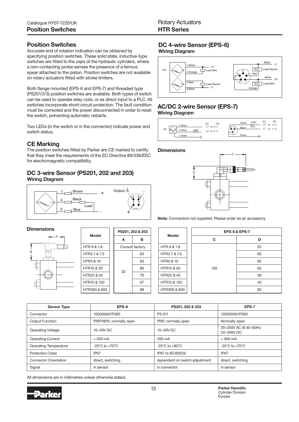#### Position Switches

Accurate end of rotation indication can be obtained by specifying position switches. These solid state, inductive-type switches are fitted to the caps of the hydraulic cylinders, where a non-contacting probe senses the presence of a ferrous spear attached to the piston. Position switches are not available on rotary actuators fitted with stroke limiters.

Both flange mounted (EPS-6 and EPS-7) and threaded type (PS201/2/3) position switches are available. Both types of switch can be used to operate relay coils, or as direct input to a PLC. All switches incorporate short-circuit protection. The fault condition must be corrected and the power disconnected in order to reset the switch, preventing automatic restarts.

Two LEDs (in the switch or in the connector) indicate power and switch status.

# CE Marking

The position switches fitted by Parker are CE marked to certify that they meet the requirements of the EC Directive 89/336/EEC for electromagnetic compatibility.

#### DC 3-wire Sensor (PS201, 202 and 203) Wiring Diagram



#### **Dimensions**



| Model                                                                       |  | PS201, 202 & 203 |    |  |  |
|-----------------------------------------------------------------------------|--|------------------|----|--|--|
|                                                                             |  | A                | в  |  |  |
| HTR.9 & 1.8                                                                 |  | Consult factory  |    |  |  |
| HTR3.7 & 7.5                                                                |  |                  | 63 |  |  |
| <b>HTR5 &amp; 10</b><br>HTR <sub>15</sub> & 30<br>HTR22 & 45<br>HTR75 & 150 |  | 32               | 63 |  |  |
|                                                                             |  |                  | 86 |  |  |
|                                                                             |  |                  | 79 |  |  |
|                                                                             |  |                  | 67 |  |  |
| HTR300 & 600                                                                |  |                  | 88 |  |  |

# DC 4-wire Sensor (EPS-6)

Wiring Diagram



#### AC/DC 2-wire Sensor (EPS-7) Wiring Diagram



**Dimensions** 



Note: Connectors not supplied. Please order as an accessory.

| <b>Model</b>         | <b>EPS-6 &amp; EPS-7</b> |    |  |  |  |  |
|----------------------|--------------------------|----|--|--|--|--|
|                      | C                        | D  |  |  |  |  |
| HTR.9 & 1.8          |                          | 52 |  |  |  |  |
| HTR3.7 & 7.5         |                          | 65 |  |  |  |  |
| <b>HTR5 &amp; 10</b> |                          | 65 |  |  |  |  |
| HTR15 & 30           | 105                      | 62 |  |  |  |  |
| HTR22 & 45           |                          | 56 |  |  |  |  |
| HTR75 & 150          |                          | 43 |  |  |  |  |
| HTR300 & 600         |                          | 83 |  |  |  |  |

| <b>Sensor Type</b>           | EPS-6                              | PS201, 202 & 203                   | EPS-7                              |
|------------------------------|------------------------------------|------------------------------------|------------------------------------|
| Connector                    | 105000A01F060                      | <b>PS 011</b>                      | 103000A01F060                      |
| <b>Output Function</b>       | PNP/NPN, normally open             | PNP, normally open                 | Normally open                      |
| <b>Operating Voltage</b>     | 10-30V DC                          | 10-30V DC                          | 20-250V AC @ 40-60Hz<br>20-300V DC |
| <b>Operating Current</b>     | $< 200 \text{ mA}$                 | 200 mA                             | $<$ 300 mA                         |
| <b>Operating Temperature</b> | $-25^{\circ}$ C to $+70^{\circ}$ C | $-25^{\circ}$ C to $+80^{\circ}$ C | $-25^{\circ}$ C to $+70^{\circ}$ C |
| <b>Protection Class</b>      | IP <sub>67</sub>                   | IP67 to IEC60529                   | IP <sub>67</sub>                   |
| <b>Connector Orientation</b> | direct, switching                  | dependent on switch adjustment     | direct, switching                  |
| Signal                       | in sensor                          | in connector                       | in sensor                          |

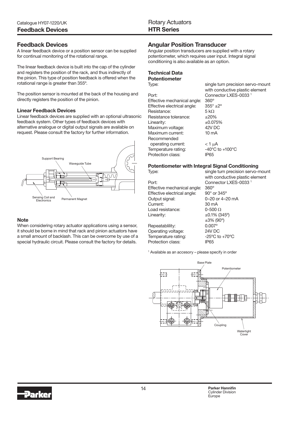#### Feedback Devices

A linear feedback device or a position sensor can be supplied for continual monitoring of the rotational range.

The linear feedback device is built into the cap of the cylinder and registers the position of the rack, and thus indirectly of the pinion. This type of position feedback is offered when the rotational range is greater than 355º.

The position sensor is mounted at the back of the housing and directly registers the position of the pinion.

#### Linear Feedback Devices

Linear feedback devices are supplied with an optional ultrasonic feedback system. Other types of feedback devices with alternative analogue or digital output signals are available on request. Please consult the factory for further information.



#### **Note**

When considering rotary actuator applications using a sensor, it should be borne in mind that rack and pinion actuators have a small amount of backlash. This can be overcome by use of a special hydraulic circuit. Please consult the factory for details.

### Angular Position Transducer

Angular position transducers are supplied with a rotary potentiometer, which requires user input. Integral signal conditioning is also available as an option.

#### Technical Data Potentiometer

Port: Connector LXES-0033<sup>1</sup> Effective mechanical angle: 360º Effective electrical angle:  $355^\circ \pm 2^\circ$ Resistance: 5 kΩ Resistance tolerance:  $\qquad 120\%$ Linearity:  $\pm 0.075\%$ Maximum voltage: 42V DC Maximum current: 10 mA Recommended operating current:  $<$  1 µA Temperature rating: -40°C to +100°C Protection class: IP65

Type: single turn precision servo-mount with conductive plastic element

#### Potentiometer with Integral Signal Conditioning

Port: Connector LXES-0033<sup>1</sup> Effective mechanical angle: 360º Effective electrical angle: 90° or 345° Output signal: 0–20 or 4–20 mA Current: 30 mA Load resistance:  $0-500 \Omega$ Linearity:  $\pm 0.1\%$  (345°)

Type: single turn precision servo-mount with conductive plastic element ±3% (90º) Repeatablility: 0.007° Operating voltage: 24V DC Temperature rating:  $-25^{\circ}$ C to +70 $^{\circ}$ C

1 Available as an accesory – please specify in order

Protection class: IP65

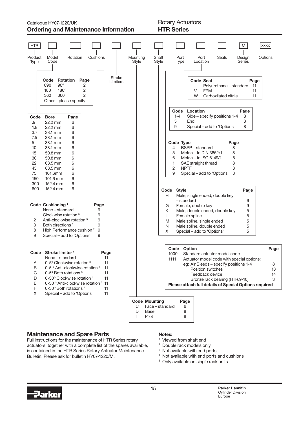Catalogue HY07-1220/UK Rotary Actuators Ordering and Maintenance Information

# HTR Series



#### Maintenance and Spare Parts

Full instructions for the maintenance of HTR Series rotary actuators, together with a complete list of the spares available, is contained in the HTR Series Rotary Actuator Maintenance Bulletin. Please ask for bulletin HY07-1220/M.

#### Notes:

- 1 Viewed from shaft end
- 2 Double rack models only
- <sup>3</sup> Not available with end ports
- 4 Not available with end ports and cushions
- <sup>5</sup> Only available on single rack units